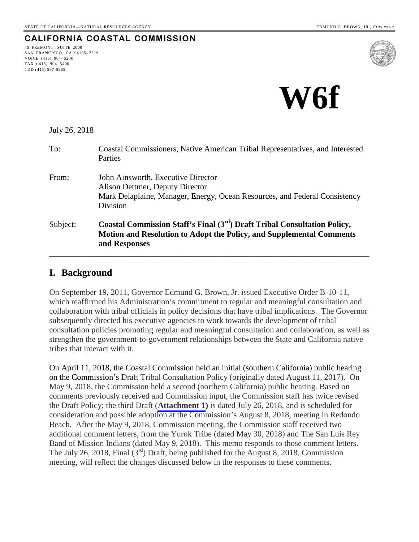# **CALIFORNIA COASTAL COMMISSION**

45 FREMONT, SUITE 2000 SAN FRANCISCO, CA 94105- 2219 VOICE (415) 904- 5200 FAX ( 415) 904- 5400 TDD (415) 597-5885





July 26, 2018

| To:      | Coastal Commissioners, Native American Tribal Representatives, and Interested<br>Parties                                                                                              |  |
|----------|---------------------------------------------------------------------------------------------------------------------------------------------------------------------------------------|--|
| From:    | John Ainsworth, Executive Director<br>Alison Dettmer, Deputy Director<br>Mark Delaplaine, Manager, Energy, Ocean Resources, and Federal Consistency<br>Division                       |  |
| Subject: | Coastal Commission Staff's Final (3 <sup>rd</sup> ) Draft Tribal Consultation Policy,<br><b>Motion and Resolution to Adopt the Policy, and Supplemental Comments</b><br>and Responses |  |

#### **I. Background**

On September 19, 2011, Governor Edmund G. Brown, Jr. issued Executive Order B-10-11, which reaffirmed his Administration's commitment to regular and meaningful consultation and collaboration with tribal officials in policy decisions that have tribal implications. The Governor subsequently directed his executive agencies to work towards the development of tribal consultation policies promoting regular and meaningful consultation and collaboration, as well as strengthen the government-to-government relationships between the State and California native tribes that interact with it.

On April 11, 2018, the Coastal Commission held an initial (southern California) public hearing on the Commission's Draft Tribal Consultation Policy (originally dated August 11, 2017). On May 9, 2018, the Commission held a second (northern California) public hearing. Based on comments previously received and Commission input, the Commission staff has twice revised the Draft Policy; the third Draft (**[Attachment 1](#page-9-0))** is dated July 26, 2018, and is scheduled for consideration and possible adoption at the Commission's August 8, 2018, meeting in Redondo Beach. After the May 9, 2018, Commission meeting, the Commission staff received two additional comment letters, from the Yurok Tribe (dated May 30, 2018) and The San Luis Rey Band of Mission Indians (dated May 9, 2018). This memo responds to those comment letters. The July 26, 2018, Final  $(3<sup>rd</sup>)$  Draft, being published for the August 8, 2018, Commission meeting, will reflect the changes discussed below in the responses to these comments.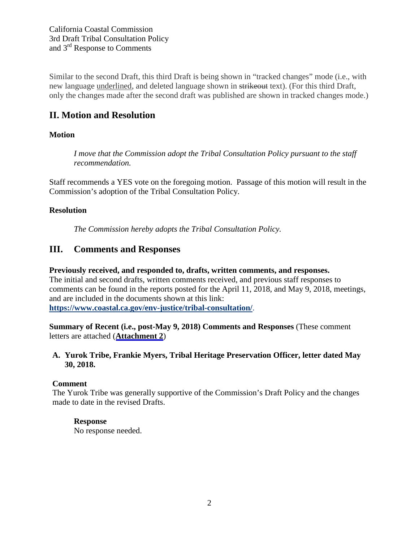Similar to the second Draft, this third Draft is being shown in "tracked changes" mode (i.e., with new language underlined, and deleted language shown in strikeout text). (For this third Draft, only the changes made after the second draft was published are shown in tracked changes mode.)

# **II. Motion and Resolution**

# **Motion**

*I move that the Commission adopt the Tribal Consultation Policy pursuant to the staff recommendation.*

Staff recommends a YES vote on the foregoing motion. Passage of this motion will result in the Commission's adoption of the Tribal Consultation Policy.

# **Resolution**

*The Commission hereby adopts the Tribal Consultation Policy.*

# **III. Comments and Responses**

## **Previously received, and responded to, drafts, written comments, and responses.**

The initial and second drafts, written comments received, and previous staff responses to comments can be found in the reports posted for the April 11, 2018, and May 9, 2018, meetings, and are included in the documents shown at this link: **<https://www.coastal.ca.gov/env-justice/tribal-consultation/>**.

**Summary of Recent (i.e., post-May 9, 2018) Comments and Responses** (These comment letters are attached (**[Attachment 2](#page-27-0)**)

# **A. Yurok Tribe, Frankie Myers, Tribal Heritage Preservation Officer, letter dated May 30, 2018.**

# **Comment**

The Yurok Tribe was generally supportive of the Commission's Draft Policy and the changes made to date in the revised Drafts.

# **Response**

No response needed.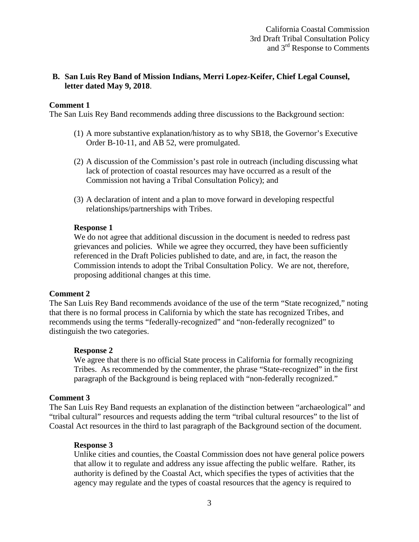## **B. San Luis Rey Band of Mission Indians, Merri Lopez-Keifer, Chief Legal Counsel, letter dated May 9, 2018**.

#### **Comment 1**

The San Luis Rey Band recommends adding three discussions to the Background section:

- (1) A more substantive explanation/history as to why SB18, the Governor's Executive Order B-10-11, and AB 52, were promulgated.
- (2) A discussion of the Commission's past role in outreach (including discussing what lack of protection of coastal resources may have occurred as a result of the Commission not having a Tribal Consultation Policy); and
- (3) A declaration of intent and a plan to move forward in developing respectful relationships/partnerships with Tribes.

#### **Response 1**

We do not agree that additional discussion in the document is needed to redress past grievances and policies. While we agree they occurred, they have been sufficiently referenced in the Draft Policies published to date, and are, in fact, the reason the Commission intends to adopt the Tribal Consultation Policy. We are not, therefore, proposing additional changes at this time.

#### **Comment 2**

The San Luis Rey Band recommends avoidance of the use of the term "State recognized," noting that there is no formal process in California by which the state has recognized Tribes, and recommends using the terms "federally-recognized" and "non-federally recognized" to distinguish the two categories.

#### **Response 2**

We agree that there is no official State process in California for formally recognizing Tribes. As recommended by the commenter, the phrase "State-recognized" in the first paragraph of the Background is being replaced with "non-federally recognized."

#### **Comment 3**

The San Luis Rey Band requests an explanation of the distinction between "archaeological" and "tribal cultural" resources and requests adding the term "tribal cultural resources" to the list of Coastal Act resources in the third to last paragraph of the Background section of the document.

#### **Response 3**

Unlike cities and counties, the Coastal Commission does not have general police powers that allow it to regulate and address any issue affecting the public welfare. Rather, its authority is defined by the Coastal Act, which specifies the types of activities that the agency may regulate and the types of coastal resources that the agency is required to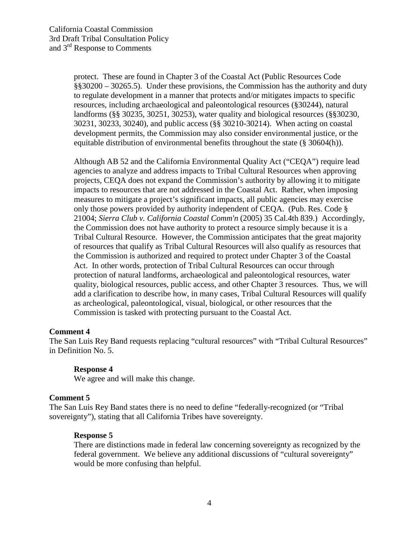protect. These are found in Chapter 3 of the Coastal Act (Public Resources Code §§30200 – 30265.5). Under these provisions, the Commission has the authority and duty to regulate development in a manner that protects and/or mitigates impacts to specific resources, including archaeological and paleontological resources (§30244), natural landforms (§§ 30235, 30251, 30253), water quality and biological resources (§§30230, 30231, 30233, 30240), and public access (§§ 30210-30214). When acting on coastal development permits, the Commission may also consider environmental justice, or the equitable distribution of environmental benefits throughout the state (§ 30604(h)).

Although AB 52 and the California Environmental Quality Act ("CEQA") require lead agencies to analyze and address impacts to Tribal Cultural Resources when approving projects, CEQA does not expand the Commission's authority by allowing it to mitigate impacts to resources that are not addressed in the Coastal Act. Rather, when imposing measures to mitigate a project's significant impacts, all public agencies may exercise only those powers provided by authority independent of CEQA. (Pub. Res. Code § 21004; *Sierra Club v. California Coastal Comm'n* (2005) 35 Cal.4th 839.) Accordingly, the Commission does not have authority to protect a resource simply because it is a Tribal Cultural Resource. However, the Commission anticipates that the great majority of resources that qualify as Tribal Cultural Resources will also qualify as resources that the Commission is authorized and required to protect under Chapter 3 of the Coastal Act. In other words, protection of Tribal Cultural Resources can occur through protection of natural landforms, archaeological and paleontological resources, water quality, biological resources, public access, and other Chapter 3 resources. Thus, we will add a clarification to describe how, in many cases, Tribal Cultural Resources will qualify as archeological, paleontological, visual, biological, or other resources that the Commission is tasked with protecting pursuant to the Coastal Act.

#### **Comment 4**

The San Luis Rey Band requests replacing "cultural resources" with "Tribal Cultural Resources" in Definition No. 5.

#### **Response 4**

We agree and will make this change.

#### **Comment 5**

The San Luis Rey Band states there is no need to define "federally-recognized (or "Tribal sovereignty"), stating that all California Tribes have sovereignty.

#### **Response 5**

There are distinctions made in federal law concerning sovereignty as recognized by the federal government. We believe any additional discussions of "cultural sovereignty" would be more confusing than helpful.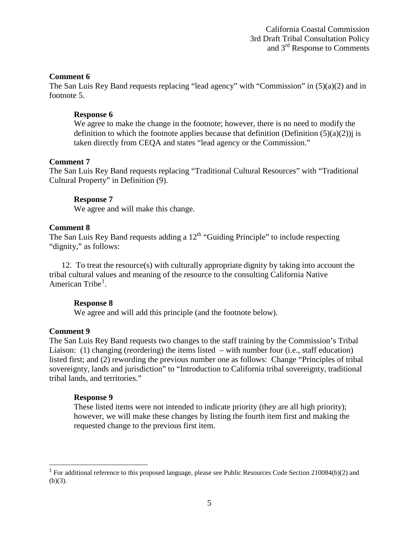#### **Comment 6**

The San Luis Rey Band requests replacing "lead agency" with "Commission" in (5)(a)(2) and in footnote 5.

#### **Response 6**

We agree to make the change in the footnote; however, there is no need to modify the definition to which the footnote applies because that definition (Definition  $(5)(a)(2)$ ) is taken directly from CEQA and states "lead agency or the Commission."

#### **Comment 7**

The San Luis Rey Band requests replacing "Traditional Cultural Resources" with "Traditional Cultural Property" in Definition (9).

#### **Response 7**

We agree and will make this change.

#### **Comment 8**

The San Luis Rey Band requests adding a  $12<sup>th</sup>$  "Guiding Principle" to include respecting "dignity," as follows:

12. To treat the resource(s) with culturally appropriate dignity by taking into account the tribal cultural values and meaning of the resource to the consulting California Native American Tribe<sup>[1](#page-4-0)</sup>.

#### **Response 8**

We agree and will add this principle (and the footnote below).

#### **Comment 9**

The San Luis Rey Band requests two changes to the staff training by the Commission's Tribal Liaison: (1) changing (reordering) the items listed – with number four (i.e., staff education) listed first; and (2) rewording the previous number one as follows: Change "Principles of tribal sovereignty, lands and jurisdiction" to "Introduction to California tribal sovereignty, traditional tribal lands, and territories."

#### **Response 9**

These listed items were not intended to indicate priority (they are all high priority); however, we will make these changes by listing the fourth item first and making the requested change to the previous first item.

<span id="page-4-0"></span><sup>&</sup>lt;sup>1</sup> For additional reference to this proposed language, please see Public Resources Code Section 210084(b)(2) and  $(b)(3)$ .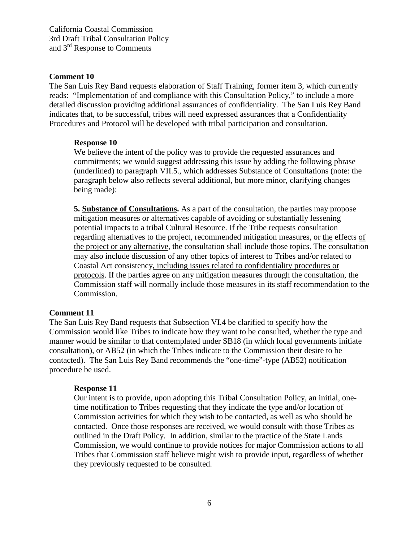California Coastal Commission 3rd Draft Tribal Consultation Policy and 3rd Response to Comments

#### **Comment 10**

The San Luis Rey Band requests elaboration of Staff Training, former item 3, which currently reads: "Implementation of and compliance with this Consultation Policy," to include a more detailed discussion providing additional assurances of confidentiality. The San Luis Rey Band indicates that, to be successful, tribes will need expressed assurances that a Confidentiality Procedures and Protocol will be developed with tribal participation and consultation.

#### **Response 10**

We believe the intent of the policy was to provide the requested assurances and commitments; we would suggest addressing this issue by adding the following phrase (underlined) to paragraph VII.5., which addresses Substance of Consultations (note: the paragraph below also reflects several additional, but more minor, clarifying changes being made):

**5. Substance of Consultations.** As a part of the consultation, the parties may propose mitigation measures or alternatives capable of avoiding or substantially lessening potential impacts to a tribal Cultural Resource. If the Tribe requests consultation regarding alternatives to the project, recommended mitigation measures, or the effects of the project or any alternative, the consultation shall include those topics. The consultation may also include discussion of any other topics of interest to Tribes and/or related to Coastal Act consistency, including issues related to confidentiality procedures or protocols. If the parties agree on any mitigation measures through the consultation, the Commission staff will normally include those measures in its staff recommendation to the Commission.

#### **Comment 11**

The San Luis Rey Band requests that Subsection VI.4 be clarified to specify how the Commission would like Tribes to indicate how they want to be consulted, whether the type and manner would be similar to that contemplated under SB18 (in which local governments initiate consultation), or AB52 (in which the Tribes indicate to the Commission their desire to be contacted). The San Luis Rey Band recommends the "one-time"-type (AB52) notification procedure be used.

#### **Response 11**

Our intent is to provide, upon adopting this Tribal Consultation Policy, an initial, onetime notification to Tribes requesting that they indicate the type and/or location of Commission activities for which they wish to be contacted, as well as who should be contacted. Once those responses are received, we would consult with those Tribes as outlined in the Draft Policy. In addition, similar to the practice of the State Lands Commission, we would continue to provide notices for major Commission actions to all Tribes that Commission staff believe might wish to provide input, regardless of whether they previously requested to be consulted.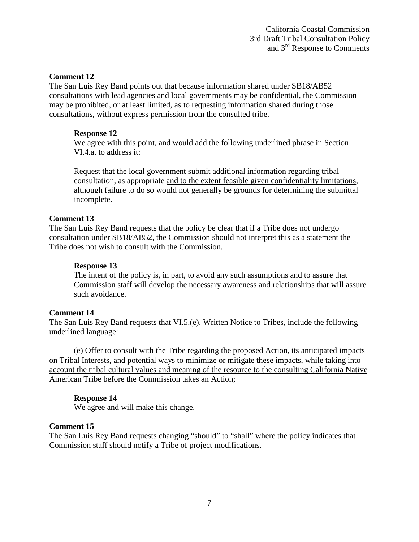#### **Comment 12**

The San Luis Rey Band points out that because information shared under SB18/AB52 consultations with lead agencies and local governments may be confidential, the Commission may be prohibited, or at least limited, as to requesting information shared during those consultations, without express permission from the consulted tribe.

#### **Response 12**

We agree with this point, and would add the following underlined phrase in Section VI.4.a. to address it:

Request that the local government submit additional information regarding tribal consultation, as appropriate and to the extent feasible given confidentiality limitations, although failure to do so would not generally be grounds for determining the submittal incomplete.

#### **Comment 13**

The San Luis Rey Band requests that the policy be clear that if a Tribe does not undergo consultation under SB18/AB52, the Commission should not interpret this as a statement the Tribe does not wish to consult with the Commission.

#### **Response 13**

The intent of the policy is, in part, to avoid any such assumptions and to assure that Commission staff will develop the necessary awareness and relationships that will assure such avoidance.

#### **Comment 14**

The San Luis Rey Band requests that VI.5.(e), Written Notice to Tribes, include the following underlined language:

(e) Offer to consult with the Tribe regarding the proposed Action, its anticipated impacts on Tribal Interests, and potential ways to minimize or mitigate these impacts, while taking into account the tribal cultural values and meaning of the resource to the consulting California Native American Tribe before the Commission takes an Action;

#### **Response 14**

We agree and will make this change.

#### **Comment 15**

The San Luis Rey Band requests changing "should" to "shall" where the policy indicates that Commission staff should notify a Tribe of project modifications.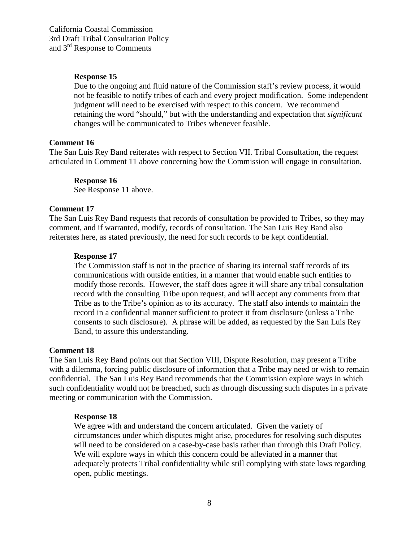California Coastal Commission 3rd Draft Tribal Consultation Policy and 3rd Response to Comments

#### **Response 15**

Due to the ongoing and fluid nature of the Commission staff's review process, it would not be feasible to notify tribes of each and every project modification. Some independent judgment will need to be exercised with respect to this concern. We recommend retaining the word "should," but with the understanding and expectation that *significant*  changes will be communicated to Tribes whenever feasible.

#### **Comment 16**

The San Luis Rey Band reiterates with respect to Section VII. Tribal Consultation, the request articulated in Comment 11 above concerning how the Commission will engage in consultation.

#### **Response 16**

See Response 11 above.

#### **Comment 17**

The San Luis Rey Band requests that records of consultation be provided to Tribes, so they may comment, and if warranted, modify, records of consultation. The San Luis Rey Band also reiterates here, as stated previously, the need for such records to be kept confidential.

#### **Response 17**

The Commission staff is not in the practice of sharing its internal staff records of its communications with outside entities, in a manner that would enable such entities to modify those records. However, the staff does agree it will share any tribal consultation record with the consulting Tribe upon request, and will accept any comments from that Tribe as to the Tribe's opinion as to its accuracy. The staff also intends to maintain the record in a confidential manner sufficient to protect it from disclosure (unless a Tribe consents to such disclosure). A phrase will be added, as requested by the San Luis Rey Band, to assure this understanding.

#### **Comment 18**

The San Luis Rey Band points out that Section VIII, Dispute Resolution, may present a Tribe with a dilemma, forcing public disclosure of information that a Tribe may need or wish to remain confidential. The San Luis Rey Band recommends that the Commission explore ways in which such confidentiality would not be breached, such as through discussing such disputes in a private meeting or communication with the Commission.

#### **Response 18**

We agree with and understand the concern articulated. Given the variety of circumstances under which disputes might arise, procedures for resolving such disputes will need to be considered on a case-by-case basis rather than through this Draft Policy. We will explore ways in which this concern could be alleviated in a manner that adequately protects Tribal confidentiality while still complying with state laws regarding open, public meetings.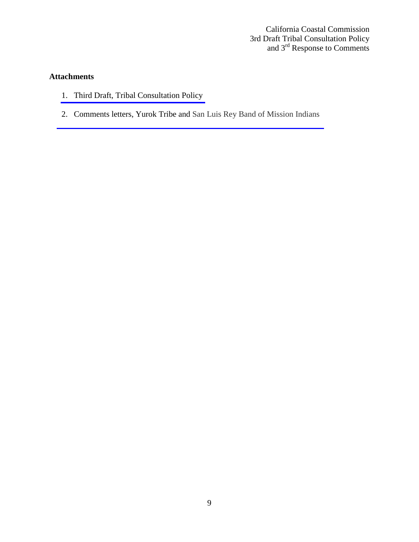California Coastal Commission 3rd Draft Tribal Consultation Policy and 3<sup>rd</sup> Response to Comments

# **Attachments**

- 1. [Third Draft, Tribal Consultation Policy](#page-9-0)
- 2. [Comments letters, Yurok Tribe and San Luis Rey Band of Mission Indians](#page-27-0)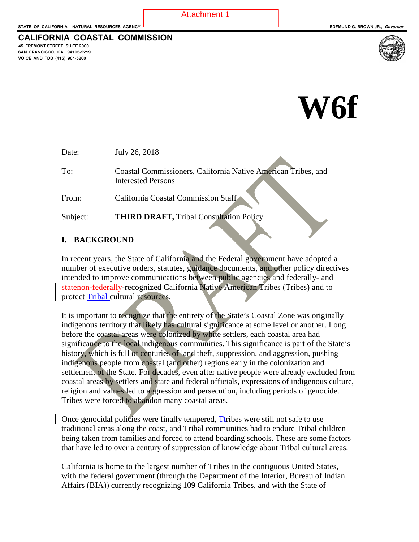<span id="page-9-0"></span>**CALIFORNIA COASTAL COMMISSION**

**45 FREMONT STREET, SUITE 2000 SAN FRANCISCO, CA 94105-2219 VOICE AND TDD (415) 904-5200**



# **W6f**

Date: July 26, 2018

To: Coastal Commissioners, California Native American Tribes, and Interested Persons

From: California Coastal Commission Staff

Subject: **THIRD DRAFT,** Tribal Consultation Policy

#### **I. BACKGROUND**

In recent years, the State of California and the Federal government have adopted a number of executive orders, statutes, guidance documents, and other policy directives intended to improve communications between public agencies and federally- and statenon-federally-recognized California Native American Tribes (Tribes) and to protect Tribal cultural resources.

It is important to recognize that the entirety of the State's Coastal Zone was originally indigenous territory that likely has cultural significance at some level or another. Long before the coastal areas were colonized by white settlers, each coastal area had significance to the local indigenous communities. This significance is part of the State's history, which is full of centuries of land theft, suppression, and aggression, pushing indigenous people from coastal (and other) regions early in the colonization and settlement of the State. For decades, even after native people were already excluded from coastal areas by settlers and state and federal officials, expressions of indigenous culture, religion and values led to aggression and persecution, including periods of genocide. Tribes were forced to abandon many coastal areas.

Once genocidal policies were finally tempered,  $T$ tribes were still not safe to use traditional areas along the coast, and Tribal communities had to endure Tribal children being taken from families and forced to attend boarding schools. These are some factors that have led to over a century of suppression of knowledge about Tribal cultural areas.

California is home to the largest number of Tribes in the contiguous United States, with the federal government (through the Department of the Interior, Bureau of Indian Affairs (BIA)) currently recognizing 109 California Tribes, and with the State of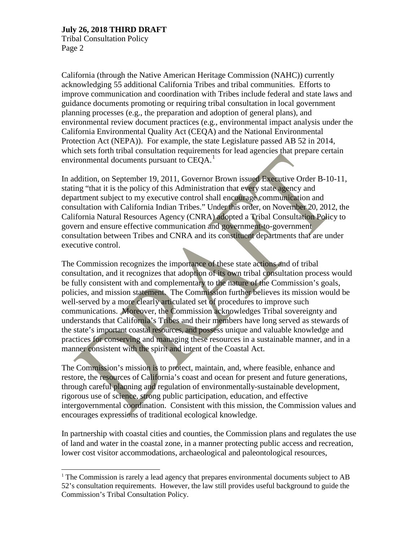Tribal Consultation Policy Page 2

California (through the Native American Heritage Commission (NAHC)) currently acknowledging 55 additional California Tribes and tribal communities. Efforts to improve communication and coordination with Tribes include federal and state laws and guidance documents promoting or requiring tribal consultation in local government planning processes (e.g., the preparation and adoption of general plans), and environmental review document practices (e.g., environmental impact analysis under the California Environmental Quality Act (CEQA) and the National Environmental Protection Act (NEPA)). For example, the state Legislature passed AB 52 in 2014, which sets forth tribal consultation requirements for lead agencies that prepare certain environmental documents pursuant to  $CEQA<sup>1</sup>$  $CEQA<sup>1</sup>$  $CEQA<sup>1</sup>$ .

In addition, on September 19, 2011, Governor Brown issued Executive Order B-10-11, stating "that it is the policy of this Administration that every state agency and department subject to my executive control shall encourage communication and consultation with California Indian Tribes." Under this order, on November 20, 2012, the California Natural Resources Agency (CNRA) adopted a Tribal Consultation Policy to govern and ensure effective communication and government-to-government consultation between Tribes and CNRA and its constituent departments that are under executive control.

The Commission recognizes the importance of these state actions and of tribal consultation, and it recognizes that adoption of its own tribal consultation process would be fully consistent with and complementary to the nature of the Commission's goals, policies, and mission statement. The Commission further believes its mission would be well-served by a more clearly articulated set of procedures to improve such communications. Moreover, the Commission acknowledges Tribal sovereignty and understands that California's Tribes and their members have long served as stewards of the state's important coastal resources, and possess unique and valuable knowledge and practices for conserving and managing these resources in a sustainable manner, and in a manner consistent with the spirit and intent of the Coastal Act.

The Commission's mission is to protect, maintain, and, where feasible, enhance and restore, the resources of California's coast and ocean for present and future generations, through careful planning and regulation of environmentally-sustainable development, rigorous use of science, strong public participation, education, and effective intergovernmental coordination.Consistent with this mission, the Commission values and encourages expressions of traditional ecological knowledge.

In partnership with coastal cities and counties, the Commission plans and regulates the use of land and water in the coastal zone, in a manner protecting public access and recreation, lower cost visitor accommodations, archaeological and paleontological resources,

<span id="page-10-0"></span> $<sup>1</sup>$  The Commission is rarely a lead agency that prepares environmental documents subject to AB</sup> 52's consultation requirements. However, the law still provides useful background to guide the Commission's Tribal Consultation Policy.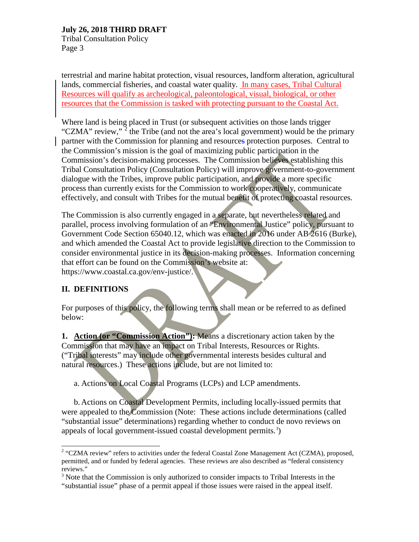Tribal Consultation Policy Page 3

terrestrial and marine habitat protection, visual resources, landform alteration, agricultural lands, commercial fisheries, and coastal water quality. In many cases, Tribal Cultural Resources will qualify as archeological, paleontological, visual, biological, or other resources that the Commission is tasked with protecting pursuant to the Coastal Act.

Where land is being placed in Trust (or subsequent activities on those lands trigger "CZMA" review,"  $2$  the Tribe (and not the area's local government) would be the primary partner with the Commission for planning and resources protection purposes. Central to the Commission's mission is the goal of maximizing public participation in the Commission's decision-making processes. The Commission believes establishing this Tribal Consultation Policy (Consultation Policy) will improve government-to-government dialogue with the Tribes, improve public participation, and provide a more specific process than currently exists for the Commission to work cooperatively, communicate effectively, and consult with Tribes for the mutual benefit of protecting coastal resources.

The Commission is also currently engaged in a separate, but nevertheless related and parallel, process involving formulation of an "Environmental Justice" policy, pursuant to Government Code Section 65040.12, which was enacted in 2016 under [AB 2616 \(Burke\),](http://leginfo.legislature.ca.gov/faces/billNavClient.xhtml?bill_id=201520160AB2616) and which amended the Coastal Act to provide legislative direction to the Commission to consider environmental justice in its decision-making processes. Information concerning that effort can be found on the Commission's website at: https://www.coastal.ca.gov/env-justice/.

# **II. DEFINITIONS**

For purposes of this policy, the following terms shall mean or be referred to as defined below:

**1. Action (or "Commission Action"):** Means a discretionary action taken by the Commission that may have an impact on Tribal Interests, Resources or Rights. ("Tribal interests" may include other governmental interests besides cultural and natural resources.) These actions include, but are not limited to:

a. Actions on Local Coastal Programs (LCPs) and LCP amendments.

b. Actions on Coastal Development Permits, including locally-issued permits that were appealed to the Commission (Note: These actions include determinations (called "substantial issue" determinations) regarding whether to conduct de novo reviews on appeals of local government-issued coastal development permits.<sup>[3](#page-11-1)</sup>)

<span id="page-11-0"></span><sup>&</sup>lt;sup>2</sup> "CZMA review" refers to activities under the federal Coastal Zone Management Act (CZMA), proposed, permitted, and or funded by federal agencies. These reviews are also described as "federal consistency reviews."

<span id="page-11-1"></span><sup>&</sup>lt;sup>3</sup> Note that the Commission is only authorized to consider impacts to Tribal Interests in the "substantial issue" phase of a permit appeal if those issues were raised in the appeal itself.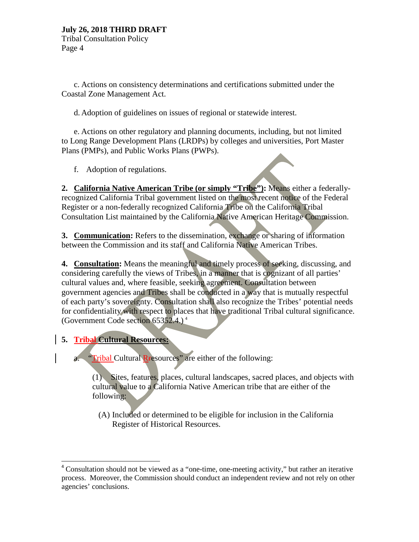Tribal Consultation Policy Page 4

c. Actions on consistency determinations and certifications submitted under the Coastal Zone Management Act.

d. Adoption of guidelines on issues of regional or statewide interest.

e. Actions on other regulatory and planning documents, including, but not limited to Long Range Development Plans (LRDPs) by colleges and universities, Port Master Plans (PMPs), and Public Works Plans (PWPs).

f. Adoption of regulations.

**2. California Native American Tribe (or simply "Tribe"):** Means either a federallyrecognized California Tribal government listed on the most recent notice of the Federal Register or a non-federally recognized California Tribe on the California Tribal Consultation List maintained by the California Native American Heritage Commission.

**3. Communication:** Refers to the dissemination, exchange or sharing of information between the Commission and its staff and California Native American Tribes.

**4. Consultation:** Means the meaningful and timely process of seeking, discussing, and considering carefully the views of Tribes, in a manner that is cognizant of all parties' cultural values and, where feasible, seeking agreement. Consultation between government agencies and Tribes shall be conducted in a way that is mutually respectful of each party's sovereignty. Consultation shall also recognize the Tribes' potential needs for confidentiality with respect to places that have traditional Tribal cultural significance. (Government Code section  $65352.4$  $65352.4$ .)<sup>4</sup>

**5. Tribal Cultural Resources:**

 $\overline{a}$ 

"Tribal Cultural Rresources" are either of the following:

(1) Sites, features, places, cultural landscapes, sacred places, and objects with cultural value to a California Native American tribe that are either of the following:

(A) Included or determined to be eligible for inclusion in the California Register of Historical Resources.

<span id="page-12-0"></span><sup>&</sup>lt;sup>4</sup> Consultation should not be viewed as a "one-time, one-meeting activity," but rather an iterative process. Moreover, the Commission should conduct an independent review and not rely on other agencies' conclusions.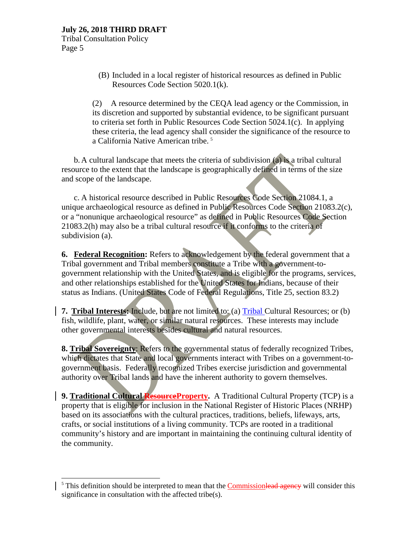Tribal Consultation Policy Page 5

> (B) Included in a local register of historical resources as defined in Public Resources Code Section 5020.1(k).

(2) A resource determined by the CEQA lead agency or the Commission, in its discretion and supported by substantial evidence, to be significant pursuant to criteria set forth in Public Resources Code Section 5024.1(c). In applying these criteria, the lead agency shall consider the significance of the resource to a California Native American tribe. [5](#page-13-0)

b. A cultural landscape that meets the criteria of subdivision (a) is a tribal cultural resource to the extent that the landscape is geographically defined in terms of the size and scope of the landscape.

c. A historical resource described in Public Resources Code Section 21084.1, a unique archaeological resource as defined in Public Resources Code Section 21083.2(c), or a "nonunique archaeological resource" as defined in Public Resources Code Section 21083.2(h) may also be a tribal cultural resource if it conforms to the criteria of subdivision (a).

**6. Federal Recognition:** Refers to acknowledgement by the federal government that a Tribal government and Tribal members constitute a Tribe with a government-togovernment relationship with the United States, and is eligible for the programs, services, and other relationships established for the United States for Indians, because of their status as Indians. (United States Code of Federal Regulations, Title 25, section 83.2)

**7. Tribal Interests:** Include, but are not limited to: (a) Tribal Cultural Resources; or (b) fish, wildlife, plant, water, or similar natural resources. These interests may include other governmental interests besides cultural and natural resources.

**8. Tribal Sovereignty**: Refers to the governmental status of federally recognized Tribes, which dictates that State and local governments interact with Tribes on a government-togovernment basis. Federally recognized Tribes exercise jurisdiction and governmental authority over Tribal lands and have the inherent authority to govern themselves.

**9. Traditional Cultural ResourceProperty.** A Traditional Cultural Property (TCP) is a property that is eligible for inclusion in the National Register of Historic Places (NRHP) based on its associations with the cultural practices, traditions, beliefs, lifeways, arts, crafts, or social institutions of a living community. TCPs are rooted in a traditional community's history and are important in maintaining the continuing cultural identity of the community.

<span id="page-13-0"></span> $<sup>5</sup>$  This definition should be interpreted to mean that the Commissionlead agency will consider this</sup> significance in consultation with the affected tribe(s).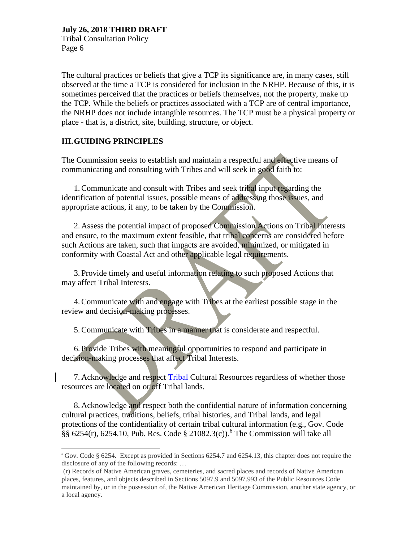Tribal Consultation Policy Page 6

The cultural practices or beliefs that give a TCP its significance are, in many cases, still observed at the time a TCP is considered for inclusion in the NRHP. Because of this, it is sometimes perceived that the practices or beliefs themselves, not the property, make up the TCP. While the beliefs or practices associated with a TCP are of central importance, the NRHP does not include intangible resources. The TCP must be a physical property or place - that is, a district, site, building, structure, or object.

# **III.GUIDING PRINCIPLES**

 $\overline{a}$ 

The Commission seeks to establish and maintain a respectful and effective means of communicating and consulting with Tribes and will seek in good faith to:

1.Communicate and consult with Tribes and seek tribal input regarding the identification of potential issues, possible means of addressing those issues, and appropriate actions, if any, to be taken by the Commission.

2. Assess the potential impact of proposed Commission Actions on Tribal Interests and ensure, to the maximum extent feasible, that tribal concerns are considered before such Actions are taken, such that impacts are avoided, minimized, or mitigated in conformity with Coastal Act and other applicable legal requirements.

3. Provide timely and useful information relating to such proposed Actions that may affect Tribal Interests.

4.Communicate with and engage with Tribes at the earliest possible stage in the review and decision-making processes.

5.Communicate with Tribes in a manner that is considerate and respectful.

6. Provide Tribes with meaningful opportunities to respond and participate in decision-making processes that affect Tribal Interests.

7. Acknowledge and respect Tribal Cultural Resources regardless of whether those resources are located on or off Tribal lands.

8. Acknowledge and respect both the confidential nature of information concerning cultural practices, traditions, beliefs, tribal histories, and Tribal lands, and legal protections of the confidentiality of certain tribal cultural information (e.g., Gov. Code  $\S$ § [6](#page-14-0)254(r), 6254.10, Pub. Res. Code § 21082.3(c)).<sup>6</sup> The Commission will take all

<span id="page-14-0"></span>**<sup>6</sup>** Gov. Code § 6254. Except as provided in Sections 6254.7 and 6254.13, this chapter does not require the disclosure of any of the following records: …

<sup>(</sup>r) Records of Native American graves, cemeteries, and sacred places and records of Native American places, features, and objects described in Sections 5097.9 and 5097.993 of the Public Resources Code maintained by, or in the possession of, the Native American Heritage Commission, another state agency, or a local agency.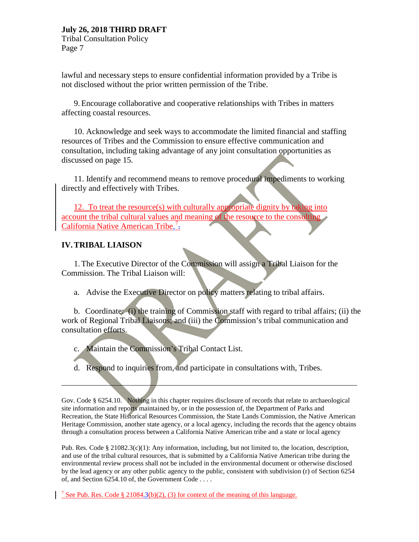Tribal Consultation Policy Page 7

lawful and necessary steps to ensure confidential information provided by a Tribe is not disclosed without the prior written permission of the Tribe.

9.Encourage collaborative and cooperative relationships with Tribes in matters affecting coastal resources.

10. Acknowledge and seek ways to accommodate the limited financial and staffing resources of Tribes and the Commission to ensure effective communication and consultation, including taking advantage of any joint consultation opportunities as discussed on page 15.

11. Identify and recommend means to remove procedural impediments to working directly and effectively with Tribes.

12. To treat the resource(s) with culturally appropriate dignity by taking into account the tribal cultural values and meaning of the resource to the consulting California Native American Tribe.<sup>[7](#page-15-0)</sup>.

# **IV.TRIBAL LIAISON**

 $\overline{a}$ 

1.The Executive Director of the Commission will assign a Tribal Liaison for the Commission. The Tribal Liaison will:

a. Advise the Executive Director on policy matters relating to tribal affairs.

b. Coordinate: (i) the training of Commission staff with regard to tribal affairs; (ii) the work of Regional Tribal Liaisons; and (iii) the Commission's tribal communication and consultation efforts.

c. Maintain the Commission's Tribal Contact List.

d. Respond to inquiries from, and participate in consultations with, Tribes.

Gov. Code § 6254.10.Nothing in this chapter requires disclosure of records that relate to archaeological site information and reports maintained by, or in the possession of, the Department of Parks and Recreation, the State Historical Resources Commission, the State Lands Commission, the Native American Heritage Commission, another state agency, or a local agency, including the records that the agency obtains through a consultation process between a California Native American tribe and a state or local agency

Pub. Res. Code § 21082.3(c)(1): Any information, including, but not limited to, the location, description, and use of the tribal cultural resources, that is submitted by a California Native American tribe during the environmental review process shall not be included in the environmental document or otherwise disclosed by the lead agency or any other public agency to the public, consistent with subdivision (r) of Section 6254 of, and Section 6254.10 of, the Government Code . . . .

<span id="page-15-0"></span><sup>7</sup> See Pub. Res. Code § 21084.3(b)(2), (3) for context of the meaning of this language.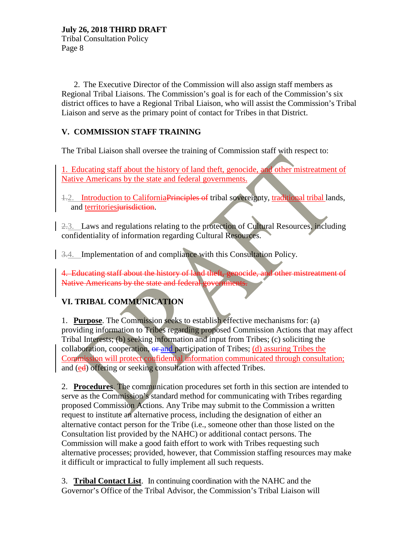2. The Executive Director of the Commission will also assign staff members as Regional Tribal Liaisons. The Commission's goal is for each of the Commission's six district offices to have a Regional Tribal Liaison, who will assist the Commission's Tribal Liaison and serve as the primary point of contact for Tribes in that District.

# **V. COMMISSION STAFF TRAINING**

The Tribal Liaison shall oversee the training of Commission staff with respect to:

1. Educating staff about the history of land theft, genocide, and other mistreatment of Native Americans by the state and federal governments.

1.2. Introduction to California Principles of tribal sovereignty, traditional tribal lands, and territories jurisdiction.

2.3. Laws and regulations relating to the protection of Cultural Resources, including confidentiality of information regarding Cultural Resources.

3.4. Implementation of and compliance with this Consultation Policy.

4. Educating staff about the history of land theft, genocide, and other mistreatment of Native Americans by the state and federal governments.

# **VI. TRIBAL COMMUNICATION**

1. **Purpose**. The Commission seeks to establish effective mechanisms for: (a) providing information to Tribes regarding proposed Commission Actions that may affect Tribal Interests; (b) seeking information and input from Tribes; (c) soliciting the collaboration, cooperation,  $\theta$  and participation of Tribes; (d) assuring Tribes the Commission will protect confidential information communicated through consultation; and (ed) offering or seeking consultation with affected Tribes.

2. **Procedures**. The communication procedures set forth in this section are intended to serve as the Commission's standard method for communicating with Tribes regarding proposed Commission Actions. Any Tribe may submit to the Commission a written request to institute an alternative process, including the designation of either an alternative contact person for the Tribe (i.e., someone other than those listed on the Consultation list provided by the NAHC) or additional contact persons. The Commission will make a good faith effort to work with Tribes requesting such alternative processes; provided, however, that Commission staffing resources may make it difficult or impractical to fully implement all such requests.

3. **Tribal Contact List**. In continuing coordination with the NAHC and the Governor's Office of the Tribal Advisor, the Commission's Tribal Liaison will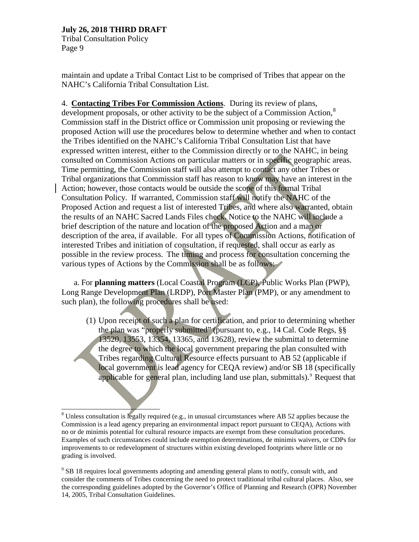Tribal Consultation Policy Page 9

maintain and update a Tribal Contact List to be comprised of Tribes that appear on the NAHC's California Tribal Consultation List.

4. **Contacting Tribes For Commission Actions**. During its review of plans, development proposals, or other activity to be the subject of a Commission Action,<sup>[8](#page-17-0)</sup> Commission staff in the District office or Commission unit proposing or reviewing the proposed Action will use the procedures below to determine whether and when to contact the Tribes identified on the NAHC's California Tribal Consultation List that have expressed written interest, either to the Commission directly or to the NAHC, in being consulted on Commission Actions on particular matters or in specific geographic areas. Time permitting, the Commission staff will also attempt to contact any other Tribes or Tribal organizations that Commission staff has reason to know may have an interest in the Action; however, those contacts would be outside the scope of this formal Tribal Consultation Policy. If warranted, Commission staff will notify the NAHC of the Proposed Action and request a list of interested Tribes, and where also warranted, obtain the results of an NAHC Sacred Lands Files check. Notice to the NAHC will include a brief description of the nature and location of the proposed Action and a map or description of the area, if available. For all types of Commission Actions, notification of interested Tribes and initiation of consultation, if requested, shall occur as early as possible in the review process. The timing and process for consultation concerning the various types of Actions by the Commission shall be as follows:

a. For **planning matters** (Local Coastal Program (LCP), Public Works Plan (PWP), Long Range Development Plan (LRDP), Port Master Plan (PMP), or any amendment to such plan), the following procedures shall be used:

(1) Upon receipt of such a plan for certification, and prior to determining whether the plan was "properly submitted" (pursuant to, e.g., 14 Cal. Code Regs, §§ 13520, 13553, 13354, 13365, and 13628), review the submittal to determine the degree to which the local government preparing the plan consulted with Tribes regarding Cultural Resource effects pursuant to AB 52 (applicable if local government is lead agency for CEQA review) and/or SB 18 (specifically applicable for general plan, including land use plan, submittals).  $9$  Request that

<span id="page-17-0"></span> <sup>8</sup> Unless consultation is legally required (e.g., in unusual circumstances where AB 52 applies because the Commission is a lead agency preparing an environmental impact report pursuant to CEQA), Actions with no or de minimis potential for cultural resource impacts are exempt from these consultation procedures. Examples of such circumstances could include exemption determinations, de minimis waivers, or CDPs for improvements to or redevelopment of structures within existing developed footprints where little or no grading is involved.

<span id="page-17-1"></span><sup>&</sup>lt;sup>9</sup> SB 18 requires local governments adopting and amending general plans to notify, consult with, and consider the comments of Tribes concerning the need to protect traditional tribal cultural places. Also, see the corresponding guidelines adopted by the Governor's Office of Planning and Research (OPR) November 14, 2005, Tribal Consultation Guidelines.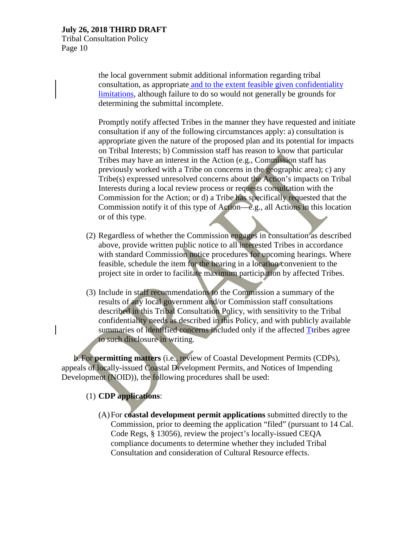Tribal Consultation Policy Page 10

> the local government submit additional information regarding tribal consultation, as appropriate and to the extent feasible given confidentiality limitations, although failure to do so would not generally be grounds for determining the submittal incomplete.

Promptly notify affected Tribes in the manner they have requested and initiate consultation if any of the following circumstances apply: a) consultation is appropriate given the nature of the proposed plan and its potential for impacts on Tribal Interests; b) Commission staff has reason to know that particular Tribes may have an interest in the Action (e.g., Commission staff has previously worked with a Tribe on concerns in the geographic area); c) any Tribe(s) expressed unresolved concerns about the Action's impacts on Tribal Interests during a local review process or requests consultation with the Commission for the Action; or d) a Tribe has specifically requested that the Commission notify it of this type of Action—e.g., all Actions in this location or of this type.

- (2) Regardless of whether the Commission engages in consultation as described above, provide written public notice to all interested Tribes in accordance with standard Commission notice procedures for upcoming hearings. Where feasible, schedule the item for the hearing in a location convenient to the project site in order to facilitate maximum participation by affected Tribes.
- (3) Include in staff recommendations to the Commission a summary of the results of any local government and/or Commission staff consultations described in this Tribal Consultation Policy, with sensitivity to the Tribal confidentiality needs as described in this Policy, and with publicly available summaries of identified concerns included only if the affected Ttribes agree to such disclosure in writing.

b. For **permitting matters** (i.e., review of Coastal Development Permits (CDPs), appeals of locally-issued Coastal Development Permits, and Notices of Impending Development (NOID)), the following procedures shall be used:

# (1) **CDP applications**:

(A)For **coastal development permit applications** submitted directly to the Commission, prior to deeming the application "filed" (pursuant to 14 Cal. Code Regs, § 13056), review the project's locally-issued CEQA compliance documents to determine whether they included Tribal Consultation and consideration of Cultural Resource effects.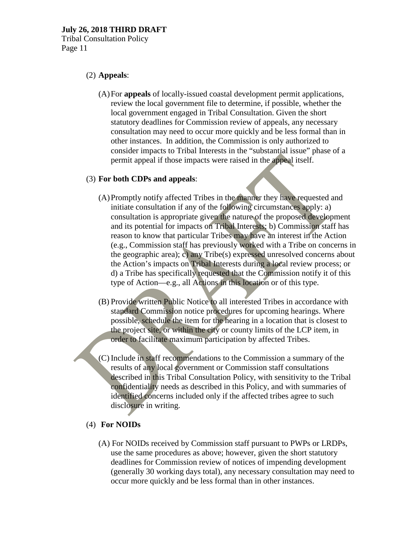Tribal Consultation Policy Page 11

# (2) **Appeals**:

(A)For **appeals** of locally-issued coastal development permit applications, review the local government file to determine, if possible, whether the local government engaged in Tribal Consultation. Given the short statutory deadlines for Commission review of appeals, any necessary consultation may need to occur more quickly and be less formal than in other instances. In addition, the Commission is only authorized to consider impacts to Tribal Interests in the "substantial issue" phase of a permit appeal if those impacts were raised in the appeal itself.

# (3) **For both CDPs and appeals**:

- (A)Promptly notify affected Tribes in the manner they have requested and initiate consultation if any of the following circumstances apply: a) consultation is appropriate given the nature of the proposed development and its potential for impacts on Tribal Interests; b) Commission staff has reason to know that particular Tribes may have an interest in the Action (e.g., Commission staff has previously worked with a Tribe on concerns in the geographic area); c) any Tribe(s) expressed unresolved concerns about the Action's impacts on Tribal Interests during a local review process; or d) a Tribe has specifically requested that the Commission notify it of this type of Action—e.g., all Actions in this location or of this type.
- (B) Provide written Public Notice to all interested Tribes in accordance with standard Commission notice procedures for upcoming hearings. Where possible, schedule the item for the hearing in a location that is closest to the project site, or within the city or county limits of the LCP item, in order to facilitate maximum participation by affected Tribes.
- (C)Include in staff recommendations to the Commission a summary of the results of any local government or Commission staff consultations described in this Tribal Consultation Policy, with sensitivity to the Tribal confidentiality needs as described in this Policy, and with summaries of identified concerns included only if the affected tribes agree to such disclosure in writing.

# (4) **For NOIDs**

(A) For NOIDs received by Commission staff pursuant to PWPs or LRDPs, use the same procedures as above; however, given the short statutory deadlines for Commission review of notices of impending development (generally 30 working days total), any necessary consultation may need to occur more quickly and be less formal than in other instances.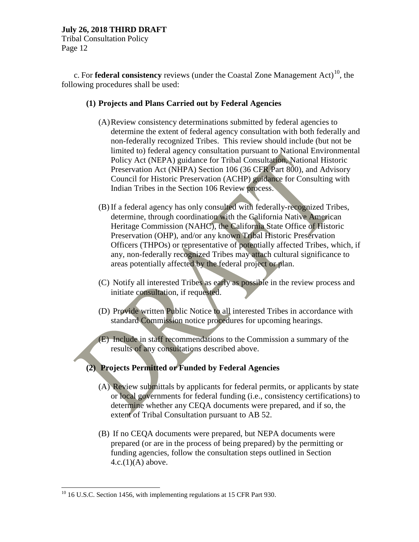Tribal Consultation Policy Page 12

c. For **federal consistency** reviews (under the Coastal Zone Management Act)<sup>10</sup>, the following procedures shall be used:

#### **(1) Projects and Plans Carried out by Federal Agencies**

- (A)Review consistency determinations submitted by federal agencies to determine the extent of federal agency consultation with both federally and non-federally recognized Tribes. This review should include (but not be limited to) federal agency consultation pursuant to National Environmental Policy Act (NEPA) guidance for Tribal Consultation, National Historic Preservation Act (NHPA) Section 106 (36 CFR Part 800), and Advisory Council for Historic Preservation (ACHP) guidance for Consulting with Indian Tribes in the Section 106 Review process.
- (B)If a federal agency has only consulted with federally-recognized Tribes, determine, through coordination with the California Native American Heritage Commission (NAHC), the California State Office of Historic Preservation (OHP), and/or any known Tribal Historic Preservation Officers (THPOs) or representative of potentially affected Tribes, which, if any, non-federally recognized Tribes may attach cultural significance to areas potentially affected by the federal project or plan.
- (C) Notify all interested Tribes as early as possible in the review process and initiate consultation, if requested.
- (D) Provide written Public Notice to all interested Tribes in accordance with standard Commission notice procedures for upcoming hearings.

(E) Include in staff recommendations to the Commission a summary of the results of any consultations described above.

# **(2) Projects Permitted or Funded by Federal Agencies**

- (A) Review submittals by applicants for federal permits, or applicants by state or local governments for federal funding (i.e., consistency certifications) to determine whether any CEQA documents were prepared, and if so, the extent of Tribal Consultation pursuant to AB 52.
- (B) If no CEQA documents were prepared, but NEPA documents were prepared (or are in the process of being prepared) by the permitting or funding agencies, follow the consultation steps outlined in Section  $4.c.(1)(A)$  above.

<span id="page-20-0"></span> $10$  16 U.S.C. Section 1456, with implementing regulations at 15 CFR Part 930.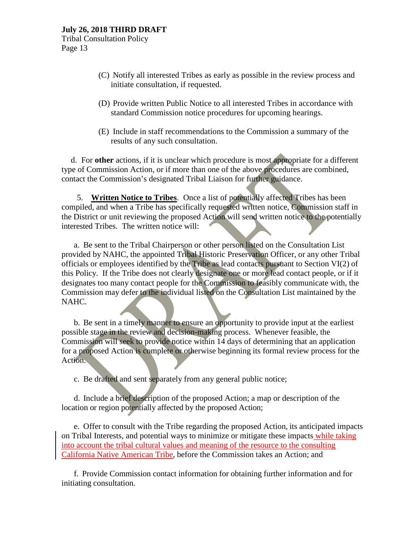Tribal Consultation Policy Page 13

- (C) Notify all interested Tribes as early as possible in the review process and initiate consultation, if requested.
- (D) Provide written Public Notice to all interested Tribes in accordance with standard Commission notice procedures for upcoming hearings.
- (E) Include in staff recommendations to the Commission a summary of the results of any such consultation.

d. For **other** actions, if it is unclear which procedure is most appropriate for a different type of Commission Action, or if more than one of the above procedures are combined, contact the Commission's designated Tribal Liaison for further guidance.

5. **Written Notice to Tribes**. Once a list of potentially affected Tribes has been compiled, and when a Tribe has specifically requested written notice, Commission staff in the District or unit reviewing the proposed Action will send written notice to the potentially interested Tribes. The written notice will:

a. Be sent to the Tribal Chairperson or other person listed on the Consultation List provided by NAHC, the appointed Tribal Historic Preservation Officer, or any other Tribal officials or employees identified by the Tribe as lead contacts pursuant to Section VI(2) of this Policy. If the Tribe does not clearly designate one or more lead contact people, or if it designates too many contact people for the Commission to feasibly communicate with, the Commission may defer to the individual listed on the Consultation List maintained by the NAHC.

b. Be sent in a timely manner to ensure an opportunity to provide input at the earliest possible stage in the review and decision-making process. Whenever feasible, the Commission will seek to provide notice within 14 days of determining that an application for a proposed Action is complete or otherwise beginning its formal review process for the Action.

c. Be drafted and sent separately from any general public notice;

d. Include a brief description of the proposed Action; a map or description of the location or region potentially affected by the proposed Action;

e. Offer to consult with the Tribe regarding the proposed Action, its anticipated impacts on Tribal Interests, and potential ways to minimize or mitigate these impacts while taking into account the tribal cultural values and meaning of the resource to the consulting California Native American Tribe, before the Commission takes an Action; and

f. Provide Commission contact information for obtaining further information and for initiating consultation.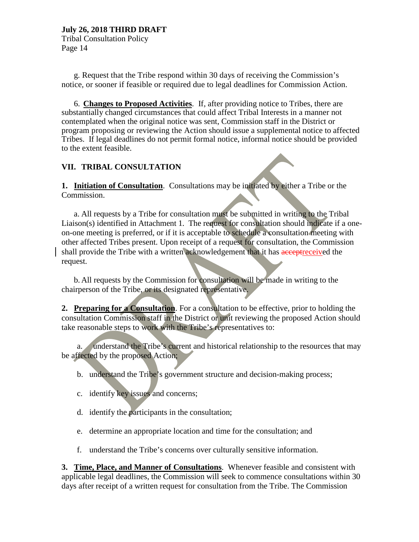Tribal Consultation Policy Page 14

g. Request that the Tribe respond within 30 days of receiving the Commission's notice, or sooner if feasible or required due to legal deadlines for Commission Action.

6. **Changes to Proposed Activities**. If, after providing notice to Tribes, there are substantially changed circumstances that could affect Tribal Interests in a manner not contemplated when the original notice was sent, Commission staff in the District or program proposing or reviewing the Action should issue a supplemental notice to affected Tribes. If legal deadlines do not permit formal notice, informal notice should be provided to the extent feasible.

# **VII. TRIBAL CONSULTATION**

**1. Initiation of Consultation**. Consultations may be initiated by either a Tribe or the Commission.

a. All requests by a Tribe for consultation must be submitted in writing to the Tribal Liaison(s) identified in Attachment 1. The request for consultation should indicate if a oneon-one meeting is preferred, or if it is acceptable to schedule a consultation meeting with other affected Tribes present. Upon receipt of a request for consultation, the Commission shall provide the Tribe with a written acknowledgement that it has acceptreceived the request.

b. All requests by the Commission for consultation will be made in writing to the chairperson of the Tribe, or its designated representative.

**2. Preparing for a Consultation**. For a consultation to be effective, prior to holding the consultation Commission staff in the District or unit reviewing the proposed Action should take reasonable steps to work with the Tribe's representatives to:

a. understand the Tribe's current and historical relationship to the resources that may be affected by the proposed Action;

- b. understand the Tribe's government structure and decision-making process;
- c. identify key issues and concerns;
- d. identify the participants in the consultation;
- e. determine an appropriate location and time for the consultation; and
- f. understand the Tribe's concerns over culturally sensitive information.

**3. Time, Place, and Manner of Consultations**. Whenever feasible and consistent with applicable legal deadlines, the Commission will seek to commence consultations within 30 days after receipt of a written request for consultation from the Tribe. The Commission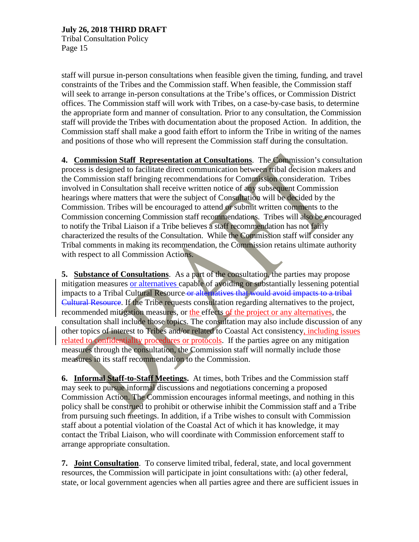Tribal Consultation Policy Page 15

staff will pursue in-person consultations when feasible given the timing, funding, and travel constraints of the Tribes and the Commission staff. When feasible, the Commission staff will seek to arrange in-person consultations at the Tribe's offices, or Commission District offices. The Commission staff will work with Tribes, on a case-by-case basis, to determine the appropriate form and manner of consultation. Prior to any consultation, the Commission staff will provide the Tribes with documentation about the proposed Action. In addition, the Commission staff shall make a good faith effort to inform the Tribe in writing of the names and positions of those who will represent the Commission staff during the consultation.

**4. Commission Staff Representation at Consultations**. The Commission's consultation process is designed to facilitate direct communication between tribal decision makers and the Commission staff bringing recommendations for Commission consideration. Tribes involved in Consultation shall receive written notice of any subsequent Commission hearings where matters that were the subject of Consultation will be decided by the Commission. Tribes will be encouraged to attend or submit written comments to the Commission concerning Commission staff recommendations. Tribes will also be encouraged to notify the Tribal Liaison if a Tribe believes a staff recommendation has not fairly characterized the results of the Consultation. While the Commission staff will consider any Tribal comments in making its recommendation, the Commission retains ultimate authority with respect to all Commission Actions.

**5. Substance of Consultations**. As a part of the consultation, the parties may propose mitigation measures or alternatives capable of avoiding or substantially lessening potential impacts to a Tribal Cultural Resource or alternatives that would avoid impacts to a tribal Cultural Resource. If the Tribe requests consultation regarding alternatives to the project, recommended mitigation measures, or the effects of the project or any alternatives, the consultation shall include those topics. The consultation may also include discussion of any other topics of interest to Tribes and/or related to Coastal Act consistency, including issues related to confidentiality procedures or protocols. If the parties agree on any mitigation measures through the consultation, the Commission staff will normally include those measures in its staff recommendation to the Commission.

**6. Informal Staff-to-Staff Meetings.** At times, both Tribes and the Commission staff may seek to pursue informal discussions and negotiations concerning a proposed Commission Action. The Commission encourages informal meetings, and nothing in this policy shall be construed to prohibit or otherwise inhibit the Commission staff and a Tribe from pursuing such meetings. In addition, if a Tribe wishes to consult with Commission staff about a potential violation of the Coastal Act of which it has knowledge, it may contact the Tribal Liaison, who will coordinate with Commission enforcement staff to arrange appropriate consultation.

**7. Joint Consultation**. To conserve limited tribal, federal, state, and local government resources, the Commission will participate in joint consultations with: (a) other federal, state, or local government agencies when all parties agree and there are sufficient issues in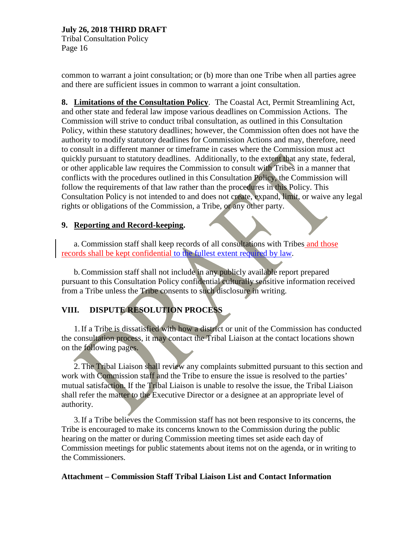Tribal Consultation Policy Page 16

common to warrant a joint consultation; or (b) more than one Tribe when all parties agree and there are sufficient issues in common to warrant a joint consultation.

**8. Limitations of the Consultation Policy**. The Coastal Act, Permit Streamlining Act, and other state and federal law impose various deadlines on Commission Actions. The Commission will strive to conduct tribal consultation, as outlined in this Consultation Policy, within these statutory deadlines; however, the Commission often does not have the authority to modify statutory deadlines for Commission Actions and may, therefore, need to consult in a different manner or timeframe in cases where the Commission must act quickly pursuant to statutory deadlines. Additionally, to the extent that any state, federal, or other applicable law requires the Commission to consult with Tribes in a manner that conflicts with the procedures outlined in this Consultation Policy, the Commission will follow the requirements of that law rather than the procedures in this Policy. This Consultation Policy is not intended to and does not create, expand, limit, or waive any legal rights or obligations of the Commission, a Tribe, or any other party.

# **9. Reporting and Record-keeping.**

a. Commission staff shall keep records of all consultations with Tribes and those records shall be kept confidential to the fullest extent required by law.

b.Commission staff shall not include in any publicly available report prepared pursuant to this Consultation Policy confidential culturally sensitive information received from a Tribe unless the Tribe consents to such disclosure in writing.

# **VIII. DISPUTE RESOLUTION PROCESS**

1.If a Tribe is dissatisfied with how a district or unit of the Commission has conducted the consultation process, it may contact the Tribal Liaison at the contact locations shown on the following pages.

2.The Tribal Liaison shall review any complaints submitted pursuant to this section and work with Commission staff and the Tribe to ensure the issue is resolved to the parties' mutual satisfaction. If the Tribal Liaison is unable to resolve the issue, the Tribal Liaison shall refer the matter to the Executive Director or a designee at an appropriate level of authority.

3.If a Tribe believes the Commission staff has not been responsive to its concerns, the Tribe is encouraged to make its concerns known to the Commission during the public hearing on the matter or during Commission meeting times set aside each day of Commission meetings for public statements about items not on the agenda, or in writing to the Commissioners.

# **Attachment – Commission Staff Tribal Liaison List and Contact Information**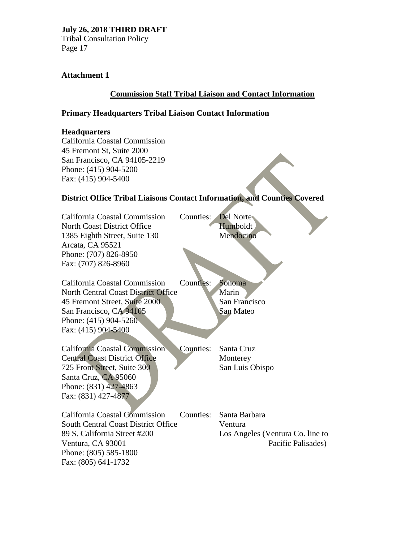Tribal Consultation Policy Page 17

# **Attachment 1**

# **Commission Staff Tribal Liaison and Contact Information**

# **Primary Headquarters Tribal Liaison Contact Information**

### **Headquarters**

California Coastal Commission 45 Fremont St, Suite 2000 San Francisco, CA 94105-2219 Phone: (415) 904-5200 Fax: (415) 904-5400

# **District Office Tribal Liaisons Contact Information, and Counties Covered**

| California Coastal Commission<br><b>North Coast District Office</b><br>1385 Eighth Street, Suite 130<br>Arcata, CA 95521 | Counties:<br>Del Norte<br>Humboldt<br>Mendocino |  |
|--------------------------------------------------------------------------------------------------------------------------|-------------------------------------------------|--|
| Phone: (707) 826-8950                                                                                                    |                                                 |  |
| Fax: (707) 826-8960                                                                                                      |                                                 |  |
|                                                                                                                          |                                                 |  |
| California Coastal Commission                                                                                            | <b>Counties:</b><br>Sonoma                      |  |
| <b>North Central Coast District Office</b>                                                                               | Marin                                           |  |
| 45 Fremont Street, Suite 2000.                                                                                           | San Francisco                                   |  |
| San Francisco, CA 94105                                                                                                  | San Mateo                                       |  |
| Phone: $(415)$ 904-5260                                                                                                  |                                                 |  |
| Fax: (415) 904-5400                                                                                                      |                                                 |  |
|                                                                                                                          |                                                 |  |
| <b>California Coastal Commission</b>                                                                                     | Counties:<br>Santa Cruz                         |  |
| <b>Central Coast District Office</b>                                                                                     | Monterey                                        |  |
| 725 Front Street, Suite 300                                                                                              | San Luis Obispo                                 |  |
| Santa Cruz, CA 95060                                                                                                     |                                                 |  |
| Phone: (831) 427-4863                                                                                                    |                                                 |  |
| Fax: (831) 427-4877                                                                                                      |                                                 |  |
|                                                                                                                          |                                                 |  |
| California Coastal Commission                                                                                            | Counties:<br>Santa Barbara                      |  |
| <b>South Central Coast District Office</b>                                                                               | Ventura                                         |  |
| 89 S. California Street #200                                                                                             | Los Angeles (Ventura Co. line to                |  |
| Ventura, CA 93001                                                                                                        | Pacific Palisades)                              |  |
| Phone: (805) 585-1800                                                                                                    |                                                 |  |
| Fax: (805) 641-1732                                                                                                      |                                                 |  |
|                                                                                                                          |                                                 |  |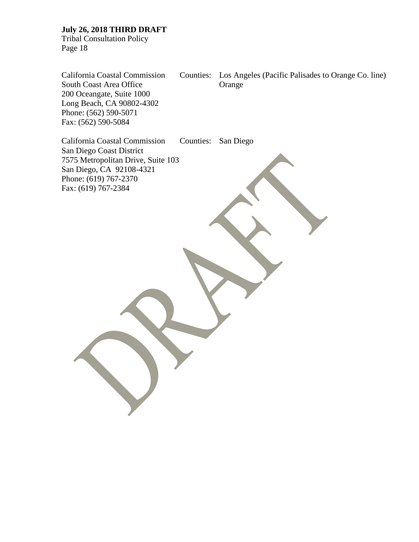Tribal Consultation Policy Page 18

California Coastal Commission Counties: Los Angeles (Pacific Palisades to Orange Co. line) South Coast Area Office **Orange** 200 Oceangate, Suite 1000 Long Beach, CA 90802-4302 Phone: (562) 590-5071 Fax: (562) 590-5084 California Coastal Commission Counties: San Diego San Diego Coast District 7575 Metropolitan Drive, Suite 103 San Diego, CA 92108-4321 Phone: (619) 767-2370 Fax: (619) 767-2384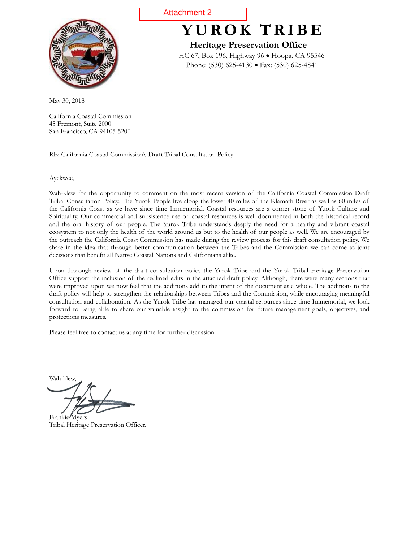<span id="page-27-0"></span>

May 30, 2018

California Coastal Commission 45 Fremont, Suite 2000 San Francisco, CA 94105-5200

RE: California Coastal Commission's Draft Tribal Consultation Policy

Ayekwee,

Wah-klew for the opportunity to comment on the most recent version of the California Coastal Commission Draft Tribal Consultation Policy. The Yurok People live along the lower 40 miles of the Klamath River as well as 60 miles of the California Coast as we have since time Immemorial. Coastal resources are a corner stone of Yurok Culture and Spirituality. Our commercial and subsistence use of coastal resources is well documented in both the historical record and the oral history of our people. The Yurok Tribe understands deeply the need for a healthy and vibrant coastal ecosystem to not only the health of the world around us but to the health of our people as well. We are encouraged by the outreach the California Coast Commission has made during the review process for this draft consultation policy. We share in the idea that through better communication between the Tribes and the Commission we can come to joint decisions that benefit all Native Coastal Nations and Californians alike.

Upon thorough review of the draft consultation policy the Yurok Tribe and the Yurok Tribal Heritage Preservation Office support the inclusion of the redlined edits in the attached draft policy. Although, there were many sections that were improved upon we now feel that the additions add to the intent of the document as a whole. The additions to the draft policy will help to strengthen the relationships between Tribes and the Commission, while encouraging meaningful consultation and collaboration. As the Yurok Tribe has managed our coastal resources since time Immemorial, we look forward to being able to share our valuable insight to the commission for future management goals, objectives, and protections measures.

Please feel free to contact us at any time for further discussion.

Wah-klew,

Frankie Myers Tribal Heritage Preservation Officer.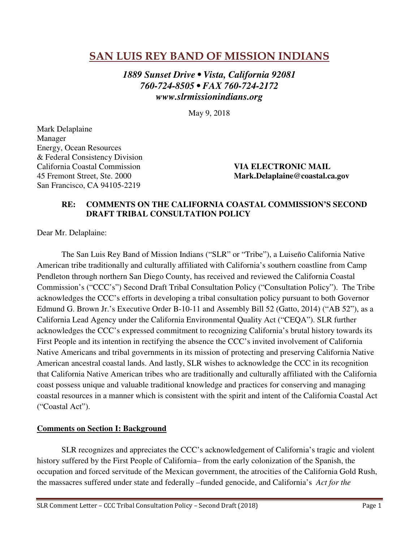# **SAN LUIS REY BAND OF MISSION INDIANS**

*1889 Sunset Drive • Vista, California 92081 760-724-8505 • FAX 760-724-2172 www.slrmissionindians.org* 

May 9, 2018

Mark Delaplaine Manager Energy, Ocean Resources & Federal Consistency Division California Coastal Commission **VIA ELECTRONIC MAIL**  San Francisco, CA 94105-2219

45 Fremont Street, Ste. 2000 **Mark.Delaplaine@coastal.ca.gov**

## **RE: COMMENTS ON THE CALIFORNIA COASTAL COMMISSION'S SECOND DRAFT TRIBAL CONSULTATION POLICY**

Dear Mr. Delaplaine:

The San Luis Rey Band of Mission Indians ("SLR" or "Tribe"), a Luiseño California Native American tribe traditionally and culturally affiliated with California's southern coastline from Camp Pendleton through northern San Diego County, has received and reviewed the California Coastal Commission's ("CCC's") Second Draft Tribal Consultation Policy ("Consultation Policy"). The Tribe acknowledges the CCC's efforts in developing a tribal consultation policy pursuant to both Governor Edmund G. Brown Jr.'s Executive Order B-10-11 and Assembly Bill 52 (Gatto, 2014) ("AB 52"), as a California Lead Agency under the California Environmental Quality Act ("CEQA"). SLR further acknowledges the CCC's expressed commitment to recognizing California's brutal history towards its First People and its intention in rectifying the absence the CCC's invited involvement of California Native Americans and tribal governments in its mission of protecting and preserving California Native American ancestral coastal lands. And lastly, SLR wishes to acknowledge the CCC in its recognition that California Native American tribes who are traditionally and culturally affiliated with the California coast possess unique and valuable traditional knowledge and practices for conserving and managing coastal resources in a manner which is consistent with the spirit and intent of the California Coastal Act ("Coastal Act").

# **Comments on Section I: Background**

SLR recognizes and appreciates the CCC's acknowledgement of California's tragic and violent history suffered by the First People of California– from the early colonization of the Spanish, the occupation and forced servitude of the Mexican government, the atrocities of the California Gold Rush, the massacres suffered under state and federally –funded genocide, and California's *Act for the*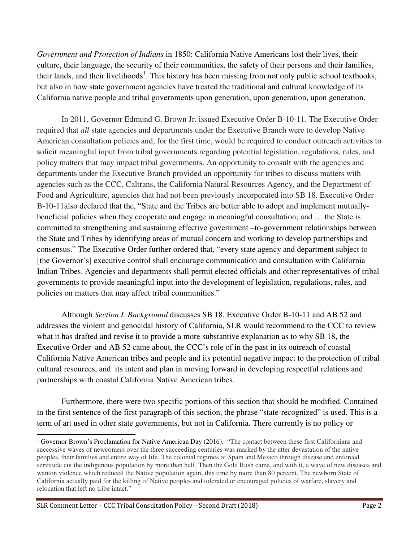*Government and Protection of Indians* in 1850: California Native Americans lost their lives, their culture, their language, the security of their communities, the safety of their persons and their families, their lands, and their livelihoods<sup>1</sup>. This history has been missing from not only public school textbooks, but also in how state government agencies have treated the traditional and cultural knowledge of its California native people and tribal governments upon generation, upon generation, upon generation.

In 2011, Governor Edmund G. Brown Jr. issued Executive Order B-10-11. The Executive Order required that *all* state agencies and departments under the Executive Branch were to develop Native American consultation policies and, for the first time, would be required to conduct outreach activities to solicit meaningful input from tribal governments regarding potential legislation, regulations, rules, and policy matters that may impact tribal governments. An opportunity to consult with the agencies and departments under the Executive Branch provided an opportunity for tribes to discuss matters with agencies such as the CCC, Caltrans, the California Natural Resources Agency, and the Department of Food and Agriculture, agencies that had not been previously incorporated into SB 18. Executive Order B-10-11also declared that the, "State and the Tribes are better able to adopt and implement mutuallybeneficial policies when they cooperate and engage in meaningful consultation; and … the State is committed to strengthening and sustaining effective government –to-government relationships between the State and Tribes by identifying areas of mutual concern and working to develop partnerships and consensus." The Executive Order further ordered that, "every state agency and department subject to [the Governor's] executive control shall encourage communication and consultation with California Indian Tribes. Agencies and departments shall permit elected officials and other representatives of tribal governments to provide meaningful input into the development of legislation, regulations, rules, and policies on matters that may affect tribal communities."

Although *Section I. Background* discusses SB 18, Executive Order B-10-11 and AB 52 and addresses the violent and genocidal history of California, SLR would recommend to the CCC to review what it has drafted and revise it to provide a more substantive explanation as to why SB 18, the Executive Order and AB 52 came about, the CCC's role of in the past in its outreach of coastal California Native American tribes and people and its potential negative impact to the protection of tribal cultural resources, and its intent and plan in moving forward in developing respectful relations and partnerships with coastal California Native American tribes.

Furthermore, there were two specific portions of this section that should be modified. Contained in the first sentence of the first paragraph of this section, the phrase "state-recognized" is used. This is a term of art used in other state governments, but not in California. There currently is no policy or

-

 $1$  Governor Brown's Proclamation for Native American Day (2016), "The contact between these first Californians and successive waves of newcomers over the three succeeding centuries was marked by the utter devastation of the native peoples, their families and entire way of life. The colonial regimes of Spain and Mexico through disease and enforced servitude cut the indigenous population by more than half. Then the Gold Rush came, and with it, a wave of new diseases and wanton violence which reduced the Native population again, this time by more than 80 percent. The newborn State of California actually paid for the killing of Native peoples and tolerated or encouraged policies of warfare, slavery and relocation that left no tribe intact."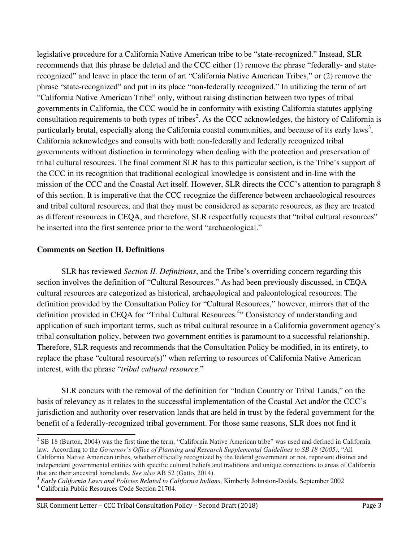legislative procedure for a California Native American tribe to be "state-recognized." Instead, SLR recommends that this phrase be deleted and the CCC either (1) remove the phrase "federally- and staterecognized" and leave in place the term of art "California Native American Tribes," or (2) remove the phrase "state-recognized" and put in its place "non-federally recognized." In utilizing the term of art "California Native American Tribe" only, without raising distinction between two types of tribal governments in California, the CCC would be in conformity with existing California statutes applying consultation requirements to both types of tribes<sup>2</sup>. As the CCC acknowledges, the history of California is particularly brutal, especially along the California coastal communities, and because of its early laws<sup>3</sup>, California acknowledges and consults with both non-federally and federally recognized tribal governments without distinction in terminology when dealing with the protection and preservation of tribal cultural resources. The final comment SLR has to this particular section, is the Tribe's support of the CCC in its recognition that traditional ecological knowledge is consistent and in-line with the mission of the CCC and the Coastal Act itself. However, SLR directs the CCC's attention to paragraph 8 of this section. It is imperative that the CCC recognize the difference between archaeological resources and tribal cultural resources, and that they must be considered as separate resources, as they are treated as different resources in CEQA, and therefore, SLR respectfully requests that "tribal cultural resources" be inserted into the first sentence prior to the word "archaeological."

#### **Comments on Section II. Definitions**

SLR has reviewed *Section II. Definitions*, and the Tribe's overriding concern regarding this section involves the definition of "Cultural Resources." As had been previously discussed, in CEQA cultural resources are categorized as historical, archaeological and paleontological resources. The definition provided by the Consultation Policy for "Cultural Resources," however, mirrors that of the definition provided in CEQA for "Tribal Cultural Resources.<sup>4</sup>" Consistency of understanding and application of such important terms, such as tribal cultural resource in a California government agency's tribal consultation policy, between two government entities is paramount to a successful relationship. Therefore, SLR requests and recommends that the Consultation Policy be modified, in its entirety, to replace the phase "cultural resource(s)" when referring to resources of California Native American interest, with the phrase "*tribal cultural resource*."

SLR concurs with the removal of the definition for "Indian Country or Tribal Lands," on the basis of relevancy as it relates to the successful implementation of the Coastal Act and/or the CCC's jurisdiction and authority over reservation lands that are held in trust by the federal government for the benefit of a federally-recognized tribal government. For those same reasons, SLR does not find it

<sup>&</sup>lt;sup>2</sup> SB 18 (Burton, 2004) was the first time the term, "California Native American tribe" was used and defined in California law. According to the *Governor's Office of Planning and Research Supplemental Guidelines to SB 18 (2005)*, "All California Native American tribes, whether officially recognized by the federal government or not, represent distinct and independent governmental entities with specific cultural beliefs and traditions and unique connections to areas of California that are their ancestral homelands. *See also* AB 52 (Gatto, 2014).

<sup>3</sup> *Early California Laws and Policies Related to California Indians*, Kimberly Johnston-Dodds, September 2002

<sup>4</sup> California Public Resources Code Section 21704.

SLR Comment Letter – CCC Tribal Consultation Policy – Second Draft (2018) Page 3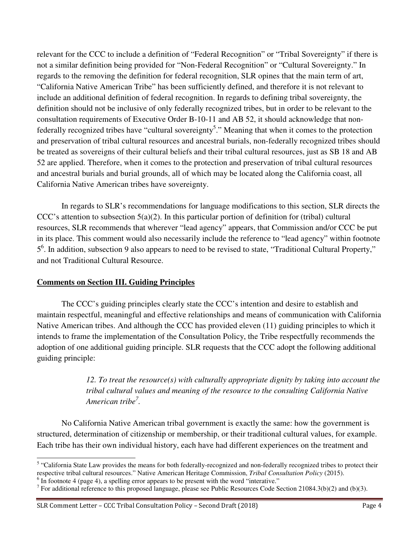relevant for the CCC to include a definition of "Federal Recognition" or "Tribal Sovereignty" if there is not a similar definition being provided for "Non-Federal Recognition" or "Cultural Sovereignty." In regards to the removing the definition for federal recognition, SLR opines that the main term of art, "California Native American Tribe" has been sufficiently defined, and therefore it is not relevant to include an additional definition of federal recognition. In regards to defining tribal sovereignty, the definition should not be inclusive of only federally recognized tribes, but in order to be relevant to the consultation requirements of Executive Order B-10-11 and AB 52, it should acknowledge that nonfederally recognized tribes have "cultural sovereignty<sup>5</sup>." Meaning that when it comes to the protection and preservation of tribal cultural resources and ancestral burials, non-federally recognized tribes should be treated as sovereigns of their cultural beliefs and their tribal cultural resources, just as SB 18 and AB 52 are applied. Therefore, when it comes to the protection and preservation of tribal cultural resources and ancestral burials and burial grounds, all of which may be located along the California coast, all California Native American tribes have sovereignty.

In regards to SLR's recommendations for language modifications to this section, SLR directs the CCC's attention to subsection  $5(a)(2)$ . In this particular portion of definition for (tribal) cultural resources, SLR recommends that wherever "lead agency" appears, that Commission and/or CCC be put in its place. This comment would also necessarily include the reference to "lead agency" within footnote 5 6 . In addition, subsection 9 also appears to need to be revised to state, "Traditional Cultural Property," and not Traditional Cultural Resource.

# **Comments on Section III. Guiding Principles**

-

The CCC's guiding principles clearly state the CCC's intention and desire to establish and maintain respectful, meaningful and effective relationships and means of communication with California Native American tribes. And although the CCC has provided eleven (11) guiding principles to which it intends to frame the implementation of the Consultation Policy, the Tribe respectfully recommends the adoption of one additional guiding principle. SLR requests that the CCC adopt the following additional guiding principle:

> *12. To treat the resource(s) with culturally appropriate dignity by taking into account the tribal cultural values and meaning of the resource to the consulting California Native American tribe<sup>7</sup> .*

No California Native American tribal government is exactly the same: how the government is structured, determination of citizenship or membership, or their traditional cultural values, for example. Each tribe has their own individual history, each have had different experiences on the treatment and

<sup>&</sup>lt;sup>5</sup> "California State Law provides the means for both federally-recognized and non-federally recognized tribes to protect their respective tribal cultural resources." Native American Heritage Commission, *Tribal Consultation Policy* (2015).

 $6 \text{ In footnote } 4 \text{ (page 4), a spelling error appears to be present with the word "interative."}$ 

<sup>&</sup>lt;sup>7</sup> For additional reference to this proposed language, please see Public Resources Code Section 21084.3(b)(2) and (b)(3).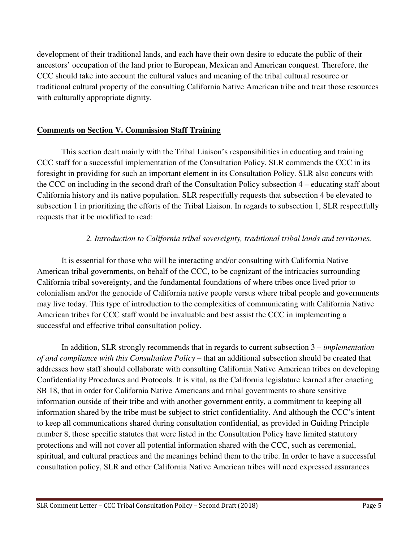development of their traditional lands, and each have their own desire to educate the public of their ancestors' occupation of the land prior to European, Mexican and American conquest. Therefore, the CCC should take into account the cultural values and meaning of the tribal cultural resource or traditional cultural property of the consulting California Native American tribe and treat those resources with culturally appropriate dignity.

# **Comments on Section V. Commission Staff Training**

This section dealt mainly with the Tribal Liaison's responsibilities in educating and training CCC staff for a successful implementation of the Consultation Policy. SLR commends the CCC in its foresight in providing for such an important element in its Consultation Policy. SLR also concurs with the CCC on including in the second draft of the Consultation Policy subsection 4 – educating staff about California history and its native population. SLR respectfully requests that subsection 4 be elevated to subsection 1 in prioritizing the efforts of the Tribal Liaison. In regards to subsection 1, SLR respectfully requests that it be modified to read:

# *2. Introduction to California tribal sovereignty, traditional tribal lands and territories.*

It is essential for those who will be interacting and/or consulting with California Native American tribal governments, on behalf of the CCC, to be cognizant of the intricacies surrounding California tribal sovereignty, and the fundamental foundations of where tribes once lived prior to colonialism and/or the genocide of California native people versus where tribal people and governments may live today. This type of introduction to the complexities of communicating with California Native American tribes for CCC staff would be invaluable and best assist the CCC in implementing a successful and effective tribal consultation policy.

In addition, SLR strongly recommends that in regards to current subsection 3 – *implementation of and compliance with this Consultation Policy* – that an additional subsection should be created that addresses how staff should collaborate with consulting California Native American tribes on developing Confidentiality Procedures and Protocols. It is vital, as the California legislature learned after enacting SB 18, that in order for California Native Americans and tribal governments to share sensitive information outside of their tribe and with another government entity, a commitment to keeping all information shared by the tribe must be subject to strict confidentiality. And although the CCC's intent to keep all communications shared during consultation confidential, as provided in Guiding Principle number 8, those specific statutes that were listed in the Consultation Policy have limited statutory protections and will not cover all potential information shared with the CCC, such as ceremonial, spiritual, and cultural practices and the meanings behind them to the tribe. In order to have a successful consultation policy, SLR and other California Native American tribes will need expressed assurances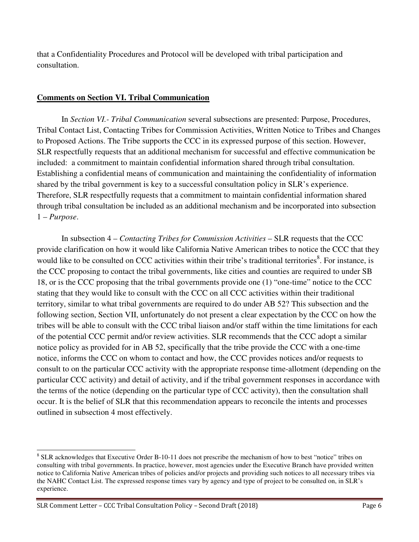that a Confidentiality Procedures and Protocol will be developed with tribal participation and consultation.

# **Comments on Section VI. Tribal Communication**

In *Section VI.- Tribal Communication* several subsections are presented: Purpose, Procedures, Tribal Contact List, Contacting Tribes for Commission Activities, Written Notice to Tribes and Changes to Proposed Actions. The Tribe supports the CCC in its expressed purpose of this section. However, SLR respectfully requests that an additional mechanism for successful and effective communication be included: a commitment to maintain confidential information shared through tribal consultation. Establishing a confidential means of communication and maintaining the confidentiality of information shared by the tribal government is key to a successful consultation policy in SLR's experience. Therefore, SLR respectfully requests that a commitment to maintain confidential information shared through tribal consultation be included as an additional mechanism and be incorporated into subsection 1 – *Purpose*.

In subsection 4 – *Contacting Tribes for Commission Activities* – SLR requests that the CCC provide clarification on how it would like California Native American tribes to notice the CCC that they would like to be consulted on CCC activities within their tribe's traditional territories<sup>8</sup>. For instance, is the CCC proposing to contact the tribal governments, like cities and counties are required to under SB 18, or is the CCC proposing that the tribal governments provide one (1) "one-time" notice to the CCC stating that they would like to consult with the CCC on all CCC activities within their traditional territory, similar to what tribal governments are required to do under AB 52? This subsection and the following section, Section VII, unfortunately do not present a clear expectation by the CCC on how the tribes will be able to consult with the CCC tribal liaison and/or staff within the time limitations for each of the potential CCC permit and/or review activities. SLR recommends that the CCC adopt a similar notice policy as provided for in AB 52, specifically that the tribe provide the CCC with a one-time notice, informs the CCC on whom to contact and how, the CCC provides notices and/or requests to consult to on the particular CCC activity with the appropriate response time-allotment (depending on the particular CCC activity) and detail of activity, and if the tribal government responses in accordance with the terms of the notice (depending on the particular type of CCC activity), then the consultation shall occur. It is the belief of SLR that this recommendation appears to reconcile the intents and processes outlined in subsection 4 most effectively.

<sup>-</sup><sup>8</sup> SLR acknowledges that Executive Order B-10-11 does not prescribe the mechanism of how to best "notice" tribes on consulting with tribal governments. In practice, however, most agencies under the Executive Branch have provided written notice to California Native American tribes of policies and/or projects and providing such notices to all necessary tribes via the NAHC Contact List. The expressed response times vary by agency and type of project to be consulted on, in SLR's experience.

SLR Comment Letter – CCC Tribal Consultation Policy – Second Draft (2018) Page 6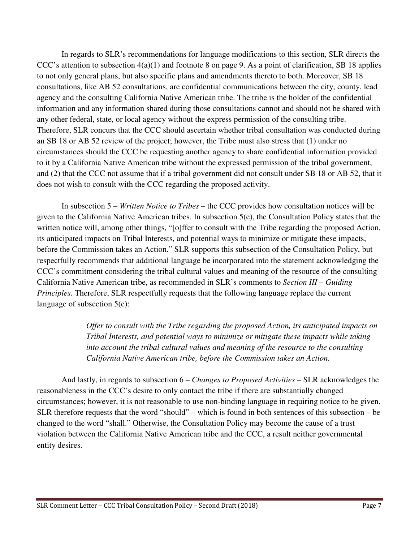In regards to SLR's recommendations for language modifications to this section, SLR directs the CCC's attention to subsection  $4(a)(1)$  and footnote 8 on page 9. As a point of clarification, SB 18 applies to not only general plans, but also specific plans and amendments thereto to both. Moreover, SB 18 consultations, like AB 52 consultations, are confidential communications between the city, county, lead agency and the consulting California Native American tribe. The tribe is the holder of the confidential information and any information shared during those consultations cannot and should not be shared with any other federal, state, or local agency without the express permission of the consulting tribe. Therefore, SLR concurs that the CCC should ascertain whether tribal consultation was conducted during an SB 18 or AB 52 review of the project; however, the Tribe must also stress that (1) under no circumstances should the CCC be requesting another agency to share confidential information provided to it by a California Native American tribe without the expressed permission of the tribal government, and (2) that the CCC not assume that if a tribal government did not consult under SB 18 or AB 52, that it does not wish to consult with the CCC regarding the proposed activity.

In subsection 5 – *Written Notice to Tribes* – the CCC provides how consultation notices will be given to the California Native American tribes. In subsection 5(e), the Consultation Policy states that the written notice will, among other things, "[o]ffer to consult with the Tribe regarding the proposed Action, its anticipated impacts on Tribal Interests, and potential ways to minimize or mitigate these impacts, before the Commission takes an Action." SLR supports this subsection of the Consultation Policy, but respectfully recommends that additional language be incorporated into the statement acknowledging the CCC's commitment considering the tribal cultural values and meaning of the resource of the consulting California Native American tribe, as recommended in SLR's comments to *Section III – Guiding Principles*. Therefore, SLR respectfully requests that the following language replace the current language of subsection 5(e):

> *Offer to consult with the Tribe regarding the proposed Action, its anticipated impacts on Tribal Interests, and potential ways to minimize or mitigate these impacts while taking into account the tribal cultural values and meaning of the resource to the consulting California Native American tribe, before the Commission takes an Action.*

And lastly, in regards to subsection 6 – *Changes to Proposed Activities* – SLR acknowledges the reasonableness in the CCC's desire to only contact the tribe if there are substantially changed circumstances; however, it is not reasonable to use non-binding language in requiring notice to be given. SLR therefore requests that the word "should" – which is found in both sentences of this subsection – be changed to the word "shall." Otherwise, the Consultation Policy may become the cause of a trust violation between the California Native American tribe and the CCC, a result neither governmental entity desires.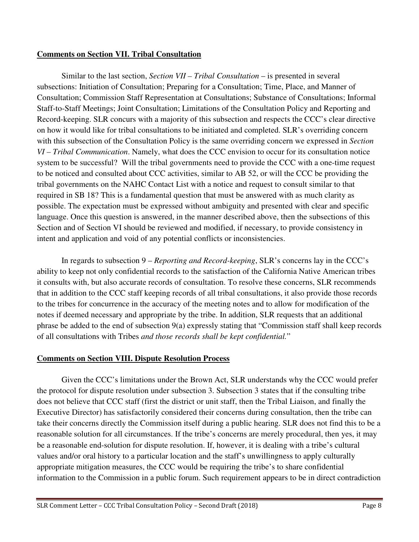# **Comments on Section VII. Tribal Consultation**

Similar to the last section, *Section VII – Tribal Consultation* – is presented in several subsections: Initiation of Consultation; Preparing for a Consultation; Time, Place, and Manner of Consultation; Commission Staff Representation at Consultations; Substance of Consultations; Informal Staff-to-Staff Meetings; Joint Consultation; Limitations of the Consultation Policy and Reporting and Record-keeping. SLR concurs with a majority of this subsection and respects the CCC's clear directive on how it would like for tribal consultations to be initiated and completed. SLR's overriding concern with this subsection of the Consultation Policy is the same overriding concern we expressed in *Section VI – Tribal Communication*. Namely, what does the CCC envision to occur for its consultation notice system to be successful? Will the tribal governments need to provide the CCC with a one-time request to be noticed and consulted about CCC activities, similar to AB 52, or will the CCC be providing the tribal governments on the NAHC Contact List with a notice and request to consult similar to that required in SB 18? This is a fundamental question that must be answered with as much clarity as possible. The expectation must be expressed without ambiguity and presented with clear and specific language. Once this question is answered, in the manner described above, then the subsections of this Section and of Section VI should be reviewed and modified, if necessary, to provide consistency in intent and application and void of any potential conflicts or inconsistencies.

In regards to subsection 9 – *Reporting and Record-keeping*, SLR's concerns lay in the CCC's ability to keep not only confidential records to the satisfaction of the California Native American tribes it consults with, but also accurate records of consultation. To resolve these concerns, SLR recommends that in addition to the CCC staff keeping records of all tribal consultations, it also provide those records to the tribes for concurrence in the accuracy of the meeting notes and to allow for modification of the notes if deemed necessary and appropriate by the tribe. In addition, SLR requests that an additional phrase be added to the end of subsection 9(a) expressly stating that "Commission staff shall keep records of all consultations with Tribes *and those records shall be kept confidential.*"

# **Comments on Section VIII. Dispute Resolution Process**

Given the CCC's limitations under the Brown Act, SLR understands why the CCC would prefer the protocol for dispute resolution under subsection 3. Subsection 3 states that if the consulting tribe does not believe that CCC staff (first the district or unit staff, then the Tribal Liaison, and finally the Executive Director) has satisfactorily considered their concerns during consultation, then the tribe can take their concerns directly the Commission itself during a public hearing. SLR does not find this to be a reasonable solution for all circumstances. If the tribe's concerns are merely procedural, then yes, it may be a reasonable end-solution for dispute resolution. If, however, it is dealing with a tribe's cultural values and/or oral history to a particular location and the staff's unwillingness to apply culturally appropriate mitigation measures, the CCC would be requiring the tribe's to share confidential information to the Commission in a public forum. Such requirement appears to be in direct contradiction